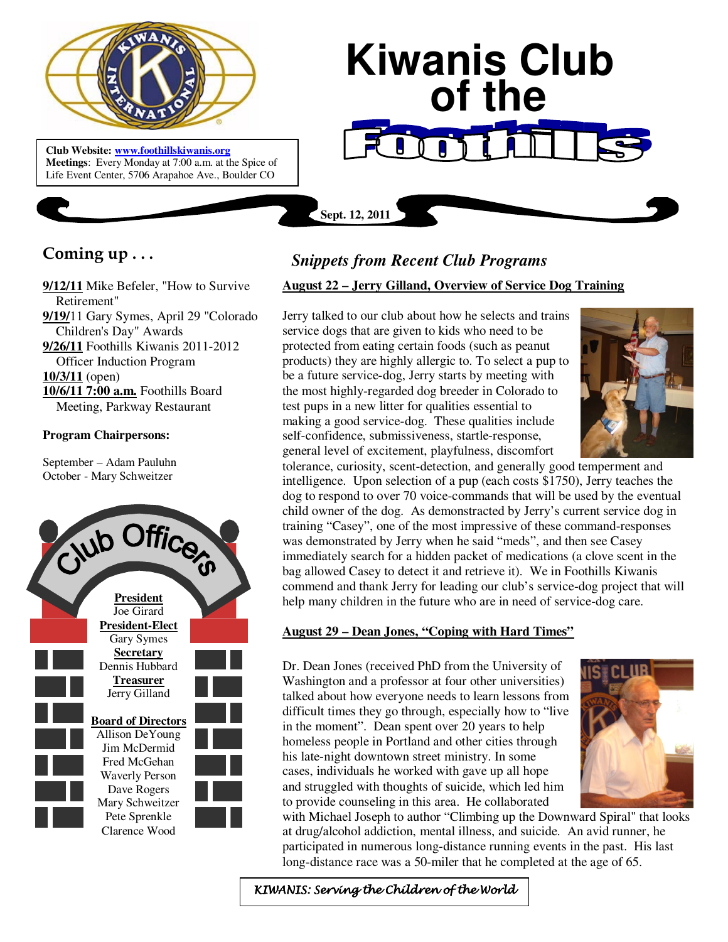

**Club Website: www.foothillskiwanis.org Meetings**: Every Monday at 7:00 a.m. at the Spice of Life Event Center, 5706 Arapahoe Ave., Boulder CO

# **Kiwanis Club of the**

**Coming up . . .** 

**9/12/11** Mike Befeler, "How to Survive Retirement" **9/19/**11 Gary Symes, April 29 "Colorado Children's Day" Awards **9/26/11** Foothills Kiwanis 2011-2012

Officer Induction Program

**10/3/11** (open)

**10/6/11 7:00 a.m.** Foothills Board Meeting, Parkway Restaurant

#### **Program Chairpersons:**

September – Adam Pauluhn October - Mary Schweitzer



# *Snippets from Recent Club Programs*

**Sept. 12, 2011**

# **August 22 – Jerry Gilland, Overview of Service Dog Training**

Jerry talked to our club about how he selects and trains service dogs that are given to kids who need to be protected from eating certain foods (such as peanut products) they are highly allergic to. To select a pup to be a future service-dog, Jerry starts by meeting with the most highly-regarded dog breeder in Colorado to test pups in a new litter for qualities essential to making a good service-dog. These qualities include self-confidence, submissiveness, startle-response, general level of excitement, playfulness, discomfort



tolerance, curiosity, scent-detection, and generally good temperment and intelligence. Upon selection of a pup (each costs \$1750), Jerry teaches the dog to respond to over 70 voice-commands that will be used by the eventual child owner of the dog. As demonstracted by Jerry's current service dog in training "Casey", one of the most impressive of these command-responses was demonstrated by Jerry when he said "meds", and then see Casey immediately search for a hidden packet of medications (a clove scent in the bag allowed Casey to detect it and retrieve it). We in Foothills Kiwanis commend and thank Jerry for leading our club's service-dog project that will help many children in the future who are in need of service-dog care.

# **August 29 – Dean Jones, "Coping with Hard Times"**

Dr. Dean Jones (received PhD from the University of Washington and a professor at four other universities) talked about how everyone needs to learn lessons from difficult times they go through, especially how to "live in the moment". Dean spent over 20 years to help homeless people in Portland and other cities through his late-night downtown street ministry. In some cases, individuals he worked with gave up all hope and struggled with thoughts of suicide, which led him to provide counseling in this area. He collaborated



with Michael Joseph to author "Climbing up the Downward Spiral" that looks at drug/alcohol addiction, mental illness, and suicide. An avid runner, he participated in numerous long-distance running events in the past. His last long-distance race was a 50-miler that he completed at the age of 65.

KIWANIS: Serving the Children of the World